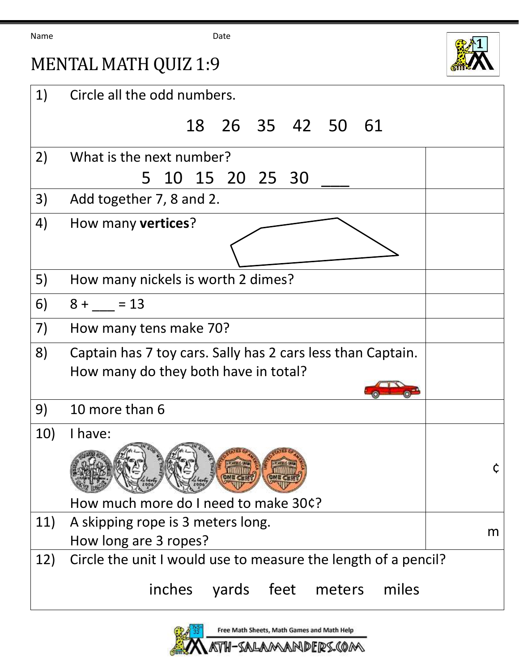Name Date



## MENTAL MATH QUIZ 1:9

| 1)  | Circle all the odd numbers.                                    |   |  |  |  |
|-----|----------------------------------------------------------------|---|--|--|--|
|     | 18  26  35  42  50  61                                         |   |  |  |  |
| 2)  | What is the next number?                                       |   |  |  |  |
|     | 5 10 15 20 25 30                                               |   |  |  |  |
| 3)  | Add together 7, 8 and 2.                                       |   |  |  |  |
| 4)  | How many <b>vertices</b> ?                                     |   |  |  |  |
|     |                                                                |   |  |  |  |
| 5)  | How many nickels is worth 2 dimes?                             |   |  |  |  |
| 6)  | $8 + 13$                                                       |   |  |  |  |
| 7)  | How many tens make 70?                                         |   |  |  |  |
| 8)  | Captain has 7 toy cars. Sally has 2 cars less than Captain.    |   |  |  |  |
|     | How many do they both have in total?                           |   |  |  |  |
|     |                                                                |   |  |  |  |
| 9)  | 10 more than 6                                                 |   |  |  |  |
| 10) | I have:                                                        |   |  |  |  |
|     |                                                                |   |  |  |  |
|     | How much more do I need to make 30¢?                           |   |  |  |  |
| 11) | A skipping rope is 3 meters long.                              | m |  |  |  |
|     | How long are 3 ropes?                                          |   |  |  |  |
| 12) | Circle the unit I would use to measure the length of a pencil? |   |  |  |  |
|     | inches yards feet meters<br>miles                              |   |  |  |  |